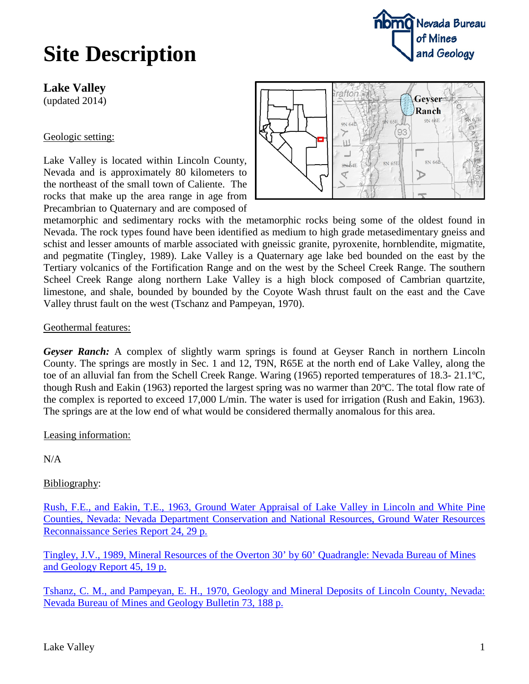## **Site Description**

**Lake Valley**

(updated 2014)

## Geologic setting:

Lake Valley is located within Lincoln County, Nevada and is approximately 80 kilometers to the northeast of the small town of Caliente. The rocks that make up the area range in age from Precambrian to Quaternary and are composed of



**nomo** Nevada Bureau

of Mines

and Geology

metamorphic and sedimentary rocks with the metamorphic rocks being some of the oldest found in Nevada. The rock types found have been identified as medium to high grade metasedimentary gneiss and schist and lesser amounts of marble associated with gneissic granite, pyroxenite, hornblendite, migmatite, and pegmatite (Tingley, 1989). Lake Valley is a Quaternary age lake bed bounded on the east by the Tertiary volcanics of the Fortification Range and on the west by the Scheel Creek Range. The southern Scheel Creek Range along northern Lake Valley is a high block composed of Cambrian quartzite, limestone, and shale, bounded by bounded by the Coyote Wash thrust fault on the east and the Cave Valley thrust fault on the west (Tschanz and Pampeyan, 1970).

## Geothermal features:

*Geyser Ranch:* A complex of slightly warm springs is found at Geyser Ranch in northern Lincoln County. The springs are mostly in Sec. 1 and 12, T9N, R65E at the north end of Lake Valley, along the toe of an alluvial fan from the Schell Creek Range. Waring (1965) reported temperatures of 18.3- 21.1ºC, though Rush and Eakin (1963) reported the largest spring was no warmer than 20ºC. The total flow rate of the complex is reported to exceed 17,000 L/min. The water is used for irrigation (Rush and Eakin, 1963). The springs are at the low end of what would be considered thermally anomalous for this area.

Leasing information:

 $N/A$ 

## Bibliography:

Rush, F.E., and Eakin, T.E., [1963, Ground Water Appraisal of Lake Valley in Lincoln and White Pine](ftp://ftp.nbmg.unr.edu/pub/geothermal/11_Documents/Rush_LakeValley_WtrAppraisal_1963.pdf)  [Counties, Nevada: Nevada Department Conservation and National Resources, Ground Water Resources](ftp://ftp.nbmg.unr.edu/pub/geothermal/11_Documents/Rush_LakeValley_WtrAppraisal_1963.pdf)  [Reconnaissance Series Report 24, 29 p.](ftp://ftp.nbmg.unr.edu/pub/geothermal/11_Documents/Rush_LakeValley_WtrAppraisal_1963.pdf)

[Tingley, J.V., 1989, Mineral Resources of the Overton 30' by 60' Quadrangle: Nevada Bureau of Mines](http://www.nbmg.unr.edu/dox/r45.pdf)  [and Geology](http://www.nbmg.unr.edu/dox/r45.pdf) Report 45, 19 p.

[Tshanz, C. M., and Pampeyan, E. H., 1970, Geology and Mineral Deposits of Lincoln County, Nevada:](http://www.nbmg.unr.edu/dox/b73/B73%20Text.pdf)  [Nevada Bureau of Mines and Geology Bulletin 73, 188 p.](http://www.nbmg.unr.edu/dox/b73/B73%20Text.pdf)